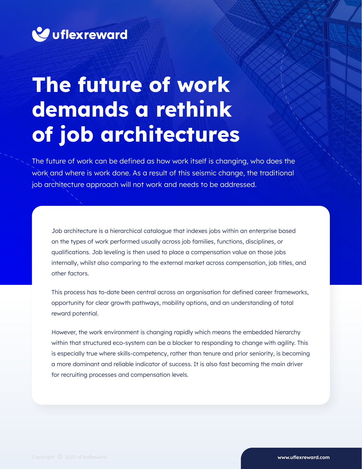

# **The future of work demands a rethink of job architectures**

The future of work can be defined as how work itself is changing, who does the work and where is work done. As a result of this seismic change, the traditional job architecture approach will not work and needs to be addressed.

Job architecture is a hierarchical catalogue that indexes jobs within an enterprise based on the types of work performed usually across job families, functions, disciplines, or qualifications. Job leveling is then used to place a compensation value on those jobs internally, whilst also comparing to the external market across compensation, job titles, and other factors.

This process has to-date been central across an organisation for defined career frameworks, opportunity for clear growth pathways, mobility options, and an understanding of total reward potential.

However, the work environment is changing rapidly which means the embedded hierarchy within that structured eco-system can be a blocker to responding to change with agility. This is especially true where skills-competency, rather than tenure and prior seniority, is becoming a more dominant and reliable indicator of success. It is also fast becoming the main driver for recruiting processes and compensation levels.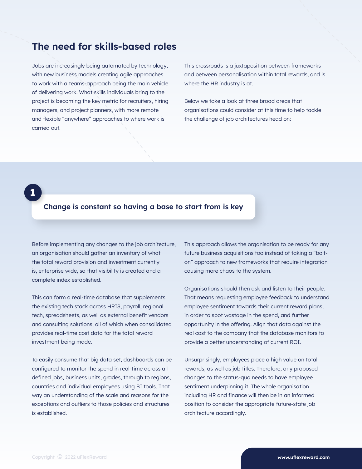## **The need for skills-based roles**

Jobs are increasingly being automated by technology, with new business models creating agile approaches to work with a teams-approach being the main vehicle of delivering work. What skills individuals bring to the project is becoming the key metric for recruiters, hiring managers, and project planners, with more remote and flexible "anywhere" approaches to where work is carried out.

This crossroads is a juxtaposition between frameworks and between personalisation within total rewards, and is where the HR industry is at.

Below we take a look at three broad areas that organisations could consider at this time to help tackle the challenge of job architectures head on:

### **Change is constant so having a base to start from is key**

Before implementing any changes to the job architecture, an organisation should gather an inventory of what the total reward provision and investment currently is, enterprise wide, so that visibility is created and a complete index established.

**1**

This can form a real-time database that supplements the existing tech stack across HRIS, payroll, regional tech, spreadsheets, as well as external benefit vendors and consulting solutions, all of which when consolidated provides real-time cost data for the total reward investment being made.

To easily consume that big data set, dashboards can be configured to monitor the spend in real-time across all defined jobs, business units, grades, through to regions, countries and individual employees using BI tools. That way an understanding of the scale and reasons for the exceptions and outliers to those policies and structures is established.

This approach allows the organisation to be ready for any future business acquisitions too instead of taking a "bolton" approach to new frameworks that require integration causing more chaos to the system.

Organisations should then ask and listen to their people. That means requesting employee feedback to understand employee sentiment towards their current reward plans, in order to spot wastage in the spend, and further opportunity in the offering. Align that data against the real cost to the company that the database monitors to provide a better understanding of current ROI.

Unsurprisingly, employees place a high value on total rewards, as well as job titles. Therefore, any proposed changes to the status-quo needs to have employee sentiment underpinning it. The whole organisation including HR and finance will then be in an informed position to consider the appropriate future-state job architecture accordingly.